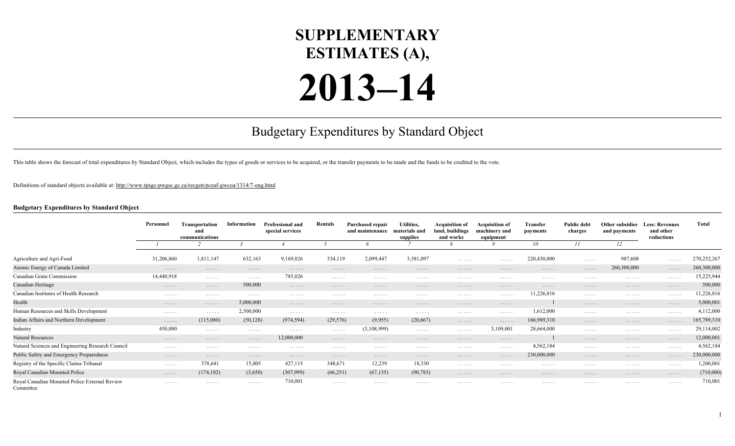## **SUPPLEMENTARY ESTIMATES (A),**

## **2013–14**

## Budgetary Expenditures by Standard Object

This table shows the forecast of total expenditures by Standard Object, which includes the types of goods or services to be acquired, or the transfer payments to be made and the funds to be credited to the vote.

Definitions of standard objects available at:<http://www.tpsgc-pwgsc.gc.ca/recgen/pceaf-gwcoa/1314/7-eng.html>

## **Budgetary Expenditures by Standard Object**

|                                                            | Personnel  | Transportation<br>and<br>communications | Information          | <b>Professional and</b><br>special services | Rentals              | <b>Purchased repair</b><br>and maintenance | Utilities,<br>materials and<br>supplies | <b>Acquisition of</b><br>land, buildings<br>and works | <b>Acquisition of</b><br>machinery and<br>equipment | Transfer<br>payments | <b>Public debt</b><br>charges | Other subsidies<br>and payments           | <b>Less: Revenues</b><br>and other<br>reductions | <b>Total</b> |    |  |
|------------------------------------------------------------|------------|-----------------------------------------|----------------------|---------------------------------------------|----------------------|--------------------------------------------|-----------------------------------------|-------------------------------------------------------|-----------------------------------------------------|----------------------|-------------------------------|-------------------------------------------|--------------------------------------------------|--------------|----|--|
|                                                            |            |                                         |                      |                                             |                      |                                            |                                         |                                                       |                                                     |                      |                               |                                           | 10                                               | 11           | 12 |  |
| Agriculture and Agri-Food                                  | 31,206,860 | 1,811,147                               | 632,163              | 9,169,826                                   | 334,119              | 2,099,447                                  | 3,581,097                               | $\cdots$                                              | .                                                   | 220,430,000          | .                             | 987,608                                   | $\cdots$                                         | 270,252,267  |    |  |
| Atomic Energy of Canada Limited                            | .          | .                                       | .                    | .                                           | .                    | .                                          | .                                       | .                                                     | .                                                   | .                    | .                             | 260,300,000                               | .                                                | 260,300,000  |    |  |
| Canadian Grain Commission                                  | 14,440,918 | $\cdots$                                | $\cdots$             | 785,026                                     | .                    | .                                          | .                                       | .                                                     | .                                                   | .                    | .                             | .                                         | .                                                | 15,225,944   |    |  |
| Canadian Heritage                                          | .          | .                                       | 500,000              | .                                           | .                    | .                                          | .                                       | .                                                     | .                                                   | .                    | .                             | .                                         | .                                                | 500,000      |    |  |
| Canadian Institutes of Health Research                     | .          | $\cdots$                                | $\cdots$             | .                                           | .                    | .                                          | .                                       | .                                                     | $\cdots$                                            | 11,226,816           | .                             | $\sim$ $\sim$ $\sim$ $\sim$ $\sim$ $\sim$ | .                                                | 11,226,816   |    |  |
| Health                                                     | .          | .                                       | 5,000,000            | .                                           | .                    | .                                          | .                                       | .                                                     | .                                                   |                      | .                             | .                                         | .                                                | 5,000,001    |    |  |
| Human Resources and Skills Development                     | .          | $\cdots$                                | 2,500,000            | $\cdots$                                    | .                    | .                                          | .                                       | .                                                     | .                                                   | 1,612,000            | .                             | .                                         | $\ldots$                                         | 4,112,000    |    |  |
| Indian Affairs and Northern Development                    | .          | (115,080)                               | (50, 128)            | (974, 594)                                  | (29, 576)            | (9,955)                                    | (20,667)                                | .                                                     | .                                                   | 166,989,310          | .                             | .                                         | .                                                | 165,789,310  |    |  |
| Industry                                                   | 450,000    | $\cdots$                                | $\cdots$             | .                                           | .                    | (3,108,999)                                | $\cdots$                                | .                                                     | 3,109,001                                           | 28,664,000           | .                             | $\cdots$                                  | .                                                | 29,114,002   |    |  |
| Natural Resources                                          | .          | .                                       | $\cdots\cdots\cdots$ | 12,000,000                                  | .                    | .                                          | .                                       | .                                                     | .                                                   |                      | .                             | .                                         | .                                                | 12,000,001   |    |  |
| Natural Sciences and Engineering Research Council          | .          | $\cdots$                                | $\cdots$             | .                                           | .                    | .                                          | .                                       | .                                                     | .                                                   | 4,562,184            | .                             | .                                         | .                                                | 4,562,184    |    |  |
| Public Safety and Emergency Preparedness                   | .          | .                                       | .                    | .                                           | $\cdots\cdots\cdots$ | .                                          | .                                       | .                                                     | .                                                   | 230,000,000          | .                             | .                                         | .                                                | 230,000,000  |    |  |
| Registry of the Specific Claims Tribunal                   | .          | 378,641                                 | 15,005               | 427,115                                     | 348,671              | 12,239                                     | 18,330                                  | .                                                     | .                                                   | .                    | .                             | .                                         | .                                                | 1,200,001    |    |  |
| Royal Canadian Mounted Police                              | .          | (174, 182)                              | (3,650)              | (307,999)                                   | (66,251)             | (67, 135)                                  | (90, 783)                               | .                                                     | .                                                   | .                    | .                             | .                                         | $\cdots\cdots\cdots$                             | (710,000)    |    |  |
| Royal Canadian Mounted Police External Review<br>Committee | .          | $\cdots$                                | $\cdots$             | 710,001                                     | $\cdots$             | .                                          | .                                       | .                                                     | .                                                   | .                    | .                             | .                                         | $\cdots$                                         | 710,001      |    |  |

1